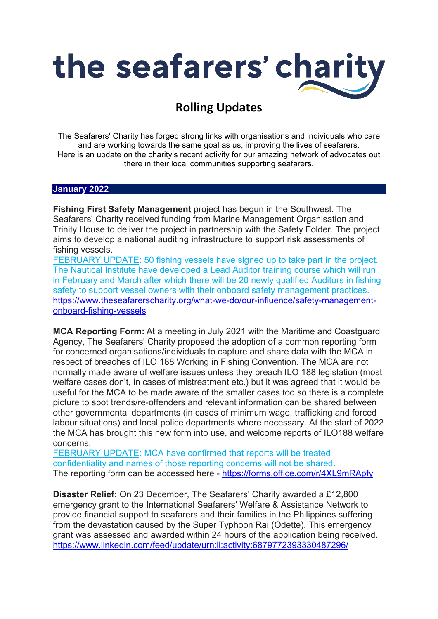

## **Rolling Updates**

The Seafarers' Charity has forged strong links with organisations and individuals who care and are working towards the same goal as us, improving the lives of seafarers. Here is an update on the charity's recent activity for our amazing network of advocates out there in their local communities supporting seafarers.

## **January 2022**

**Fishing First Safety Management** project has begun in the Southwest. The Seafarers' Charity received funding from Marine Management Organisation and Trinity House to deliver the project in partnership with the Safety Folder. The project aims to develop a national auditing infrastructure to support risk assessments of fishing vessels.

FEBRUARY UPDATE: 50 fishing vessels have signed up to take part in the project. The Nautical Institute have developed a Lead Auditor training course which will run in February and March after which there will be 20 newly qualified Auditors in fishing safety to support vessel owners with their onboard safety management practices. [https://www.theseafarerscharity.org/what-we-do/our-influence/safety-management](https://www.theseafarerscharity.org/what-we-do/our-influence/safety-management-onboard-fishing-vessels)[onboard-fishing-vessels](https://www.theseafarerscharity.org/what-we-do/our-influence/safety-management-onboard-fishing-vessels)

**MCA Reporting Form:** At a meeting in July 2021 with the Maritime and Coastguard Agency, The Seafarers' Charity proposed the adoption of a common reporting form for concerned organisations/individuals to capture and share data with the MCA in respect of breaches of ILO 188 Working in Fishing Convention. The MCA are not normally made aware of welfare issues unless they breach ILO 188 legislation (most welfare cases don't, in cases of mistreatment etc.) but it was agreed that it would be useful for the MCA to be made aware of the smaller cases too so there is a complete picture to spot trends/re-offenders and relevant information can be shared between other governmental departments (in cases of minimum wage, trafficking and forced labour situations) and local police departments where necessary. At the start of 2022 the MCA has brought this new form into use, and welcome reports of ILO188 welfare concerns.

FEBRUARY UPDATE: MCA have confirmed that reports will be treated confidentiality and names of those reporting concerns will not be shared. The reporting form can be accessed here -<https://forms.office.com/r/4XL9mRApfy>

**Disaster Relief:** On 23 December, The Seafarers' Charity awarded a £12,800 emergency grant to the International Seafarers' Welfare & Assistance Network to provide financial support to seafarers and their families in the Philippines suffering from the devastation caused by the Super Typhoon Rai (Odette). This emergency grant was assessed and awarded within 24 hours of the application being received. <https://www.linkedin.com/feed/update/urn:li:activity:6879772393330487296/>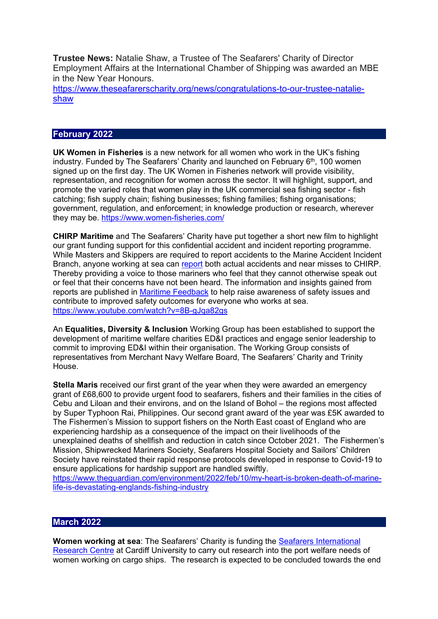**Trustee News:** Natalie Shaw, a Trustee of The Seafarers' Charity of Director Employment Affairs at the International Chamber of Shipping was awarded an MBE in the New Year Honours.

[https://www.theseafarerscharity.org/news/congratulations-to-our-trustee-natalie](https://www.theseafarerscharity.org/news/congratulations-to-our-trustee-natalie-shaw)[shaw](https://www.theseafarerscharity.org/news/congratulations-to-our-trustee-natalie-shaw)

## **February 2022**

**UK Women in Fisheries** is a new network for all women who work in the UK's fishing industry. Funded by The Seafarers' Charity and launched on February  $6<sup>th</sup>$ , 100 women signed up on the first day. The UK Women in Fisheries network will provide visibility, representation, and recognition for women across the sector. It will highlight, support, and promote the varied roles that women play in the UK commercial sea fishing sector - fish catching; fish supply chain; fishing businesses; fishing families; fishing organisations; government, regulation, and enforcement; in knowledge production or research, wherever they may be.<https://www.women-fisheries.com/>

**CHIRP Maritime** and The Seafarers' Charity have put together a short new film to highlight our grant funding support for this confidential accident and incident reporting programme. While Masters and Skippers are required to report accidents to the Marine Accident Incident Branch, anyone working at sea can [report](https://www.chirpmaritime.org/submit-a-report/) both actual accidents and near misses to CHIRP. Thereby providing a voice to those mariners who feel that they cannot otherwise speak out or feel that their concerns have not been heard. The information and insights gained from reports are published in [Maritime Feedback](https://www.chirpmaritime.org/newsletters/) to help raise awareness of safety issues and contribute to improved safety outcomes for everyone who works at sea. <https://www.youtube.com/watch?v=8B-gJqa82gs>

An **Equalities, Diversity & Inclusion** Working Group has been established to support the development of maritime welfare charities ED&I practices and engage senior leadership to commit to improving ED&I within their organisation. The Working Group consists of representatives from Merchant Navy Welfare Board, The Seafarers' Charity and Trinity House.

**Stella Maris** received our first grant of the year when they were awarded an emergency grant of £68,600 to provide urgent food to seafarers, fishers and their families in the cities of Cebu and Liloan and their environs, and on the Island of Bohol – the regions most affected by Super Typhoon Rai, Philippines. Our second grant award of the year was £5K awarded to The Fishermen's Mission to support fishers on the North East coast of England who are experiencing hardship as a consequence of the impact on their livelihoods of the unexplained deaths of shellfish and reduction in catch since October 2021. The Fishermen's Mission, Shipwrecked Mariners Society, Seafarers Hospital Society and Sailors' Children Society have reinstated their rapid response protocols developed in response to Covid-19 to ensure applications for hardship support are handled swiftly.

[https://www.theguardian.com/environment/2022/feb/10/my-heart-is-broken-death-of-marine](https://www.theguardian.com/environment/2022/feb/10/my-heart-is-broken-death-of-marine-life-is-devastating-englands-fishing-industry)[life-is-devastating-englands-fishing-industry](https://www.theguardian.com/environment/2022/feb/10/my-heart-is-broken-death-of-marine-life-is-devastating-englands-fishing-industry) 

## **March 2022**

**Women working at sea: The Seafarers' Charity is funding the <b>Seafarers International** [Research Centre](https://www.theseafarerscharity.org/new-research-survey-for-women-working-on-cargo-ships) at Cardiff University to carry out research into the port welfare needs of women working on cargo ships. The research is expected to be concluded towards the end